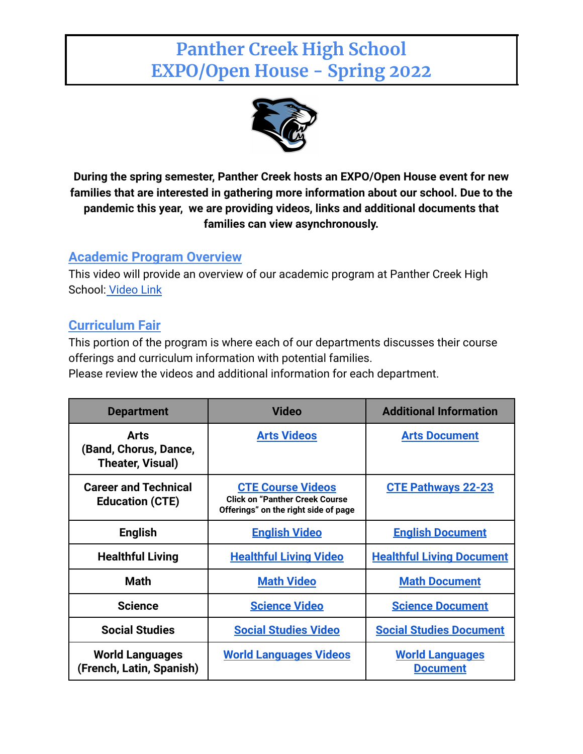# **Panther Creek High School EXPO/Open House - Spring 2022**



**During the spring semester, Panther Creek hosts an EXPO/Open House event for new families that are interested in gathering more information about our school. Due to the pandemic this year, we are providing videos, links and additional documents that families can view asynchronously.**

## **Academic Program Overview**

This video will provide an overview of our academic program at Panther Creek High School: [Video Link](https://drive.google.com/file/d/1vaV8bwM10h_gGHeE4zOl-zTjO1ivzmld/view?usp=sharing)

# **Curriculum Fair**

This portion of the program is where each of our departments discusses their course offerings and curriculum information with potential families.

Please review the videos and additional information for each department.

| <b>Department</b>                                     | <b>Video</b>                                                                                               | <b>Additional Information</b>             |
|-------------------------------------------------------|------------------------------------------------------------------------------------------------------------|-------------------------------------------|
| Arts<br>(Band, Chorus, Dance,<br>Theater, Visual)     | <b>Arts Videos</b>                                                                                         | <b>Arts Document</b>                      |
| <b>Career and Technical</b><br><b>Education (CTE)</b> | <b>CTE Course Videos</b><br><b>Click on "Panther Creek Course"</b><br>Offerings" on the right side of page | <b>CTE Pathways 22-23</b>                 |
| <b>English</b>                                        | <u>English Video</u>                                                                                       | <b>English Document</b>                   |
| <b>Healthful Living</b>                               | <b>Healthful Living Video</b>                                                                              | <b>Healthful Living Document</b>          |
| <b>Math</b>                                           | <b>Math Video</b>                                                                                          | <b>Math Document</b>                      |
| <b>Science</b>                                        | <b>Science Video</b>                                                                                       | <b>Science Document</b>                   |
| <b>Social Studies</b>                                 | <b>Social Studies Video</b>                                                                                | <b>Social Studies Document</b>            |
| <b>World Languages</b><br>(French, Latin, Spanish)    | <b>World Languages Videos</b>                                                                              | <b>World Languages</b><br><b>Document</b> |